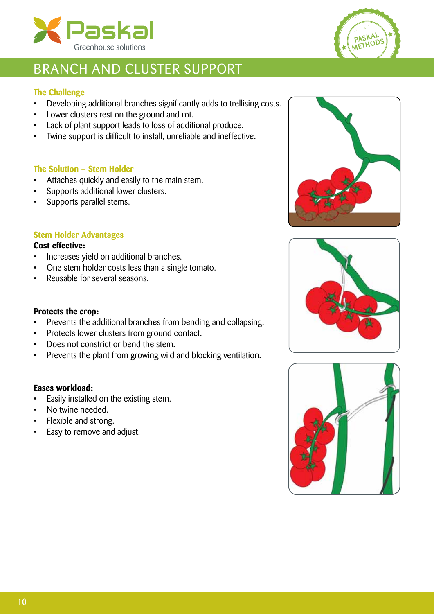



## BRANCH AND CLUSTER SUPPORT

### **The Challenge**

- Developing additional branches significantly adds to trellising costs.
- • Lower clusters rest on the ground and rot.
- Lack of plant support leads to loss of additional produce.
- • Twine support is difficult to install, unreliable and ineffective.

### **The Solution – Stem Holder**

- Attaches quickly and easily to the main stem.
- • Supports additional lower clusters.
- Supports parallel stems.

### **Stem Holder Advantages**

### **Cost effective:**

- • Increases yield on additional branches.
- One stem holder costs less than a single tomato.
- Reusable for several seasons.

#### **Protects the crop:**

- Prevents the additional branches from bending and collapsing.
- • Protects lower clusters from ground contact.
- Does not constrict or bend the stem.
- Prevents the plant from growing wild and blocking ventilation.

### **Eases workload:**

- • Easily installed on the existing stem.
- No twine needed.
- Flexible and strong.
- Easy to remove and adjust.